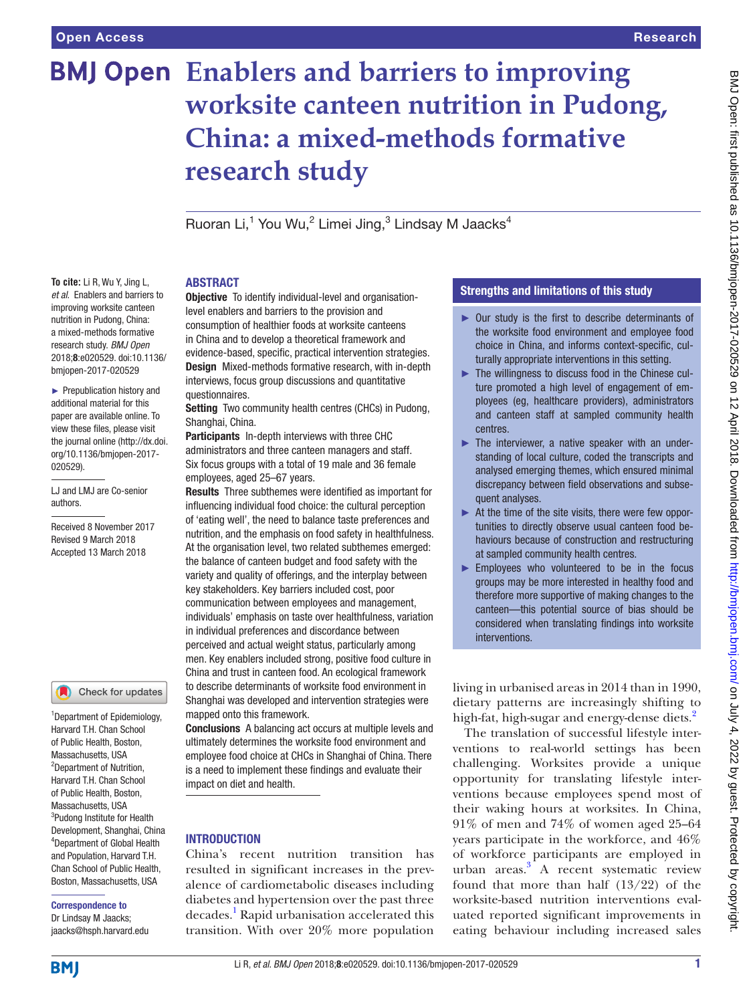# **Enablers and barriers to improving worksite canteen nutrition in Pudong, China: a mixed-methods formative research study**

Ruoran Li,<sup>1</sup> You Wu,<sup>2</sup> Limei Jing,<sup>3</sup> Lindsay M Jaacks<sup>4</sup>

#### **ABSTRACT**

Objective To identify individual-level and organisationlevel enablers and barriers to the provision and consumption of healthier foods at worksite canteens in China and to develop a theoretical framework and evidence-based, specific, practical intervention strategies. Design Mixed-methods formative research, with in-depth interviews, focus group discussions and quantitative questionnaires.

Setting Two community health centres (CHCs) in Pudong, Shanghai, China.

Participants In-depth interviews with three CHC administrators and three canteen managers and staff. Six focus groups with a total of 19 male and 36 female employees, aged 25–67 years.

Results Three subthemes were identified as important for influencing individual food choice: the cultural perception of 'eating well', the need to balance taste preferences and nutrition, and the emphasis on food safety in healthfulness. At the organisation level, two related subthemes emerged: the balance of canteen budget and food safety with the variety and quality of offerings, and the interplay between key stakeholders. Key barriers included cost, poor communication between employees and management, individuals' emphasis on taste over healthfulness, variation in individual preferences and discordance between perceived and actual weight status, particularly among men. Key enablers included strong, positive food culture in China and trust in canteen food. An ecological framework to describe determinants of worksite food environment in Shanghai was developed and intervention strategies were mapped onto this framework.

Conclusions A balancing act occurs at multiple levels and ultimately determines the worksite food environment and employee food choice at CHCs in Shanghai of China. There is a need to implement these findings and evaluate their impact on diet and health.

## **INTRODUCTION**

China's recent nutrition transition has resulted in significant increases in the prevalence of cardiometabolic diseases including diabetes and hypertension over the past three decades.<sup>1</sup> Rapid urbanisation accelerated this transition. With over 20% more population

## Strengths and limitations of this study

- ► Our study is the first to describe determinants of the worksite food environment and employee food choice in China, and informs context-specific, culturally appropriate interventions in this setting.
- ► The willingness to discuss food in the Chinese culture promoted a high level of engagement of employees (eg, healthcare providers), administrators and canteen staff at sampled community health centres.
- $\blacktriangleright$  The interviewer, a native speaker with an understanding of local culture, coded the transcripts and analysed emerging themes, which ensured minimal discrepancy between field observations and subsequent analyses.
- $\blacktriangleright$  At the time of the site visits, there were few opportunities to directly observe usual canteen food behaviours because of construction and restructuring at sampled community health centres.
- ► Employees who volunteered to be in the focus groups may be more interested in healthy food and therefore more supportive of making changes to the canteen—this potential source of bias should be considered when translating findings into worksite interventions.

living in urbanised areas in 2014 than in 1990, dietary patterns are increasingly shifting to high-fat, high-sugar and energy-dense diets.<sup>[2](#page-8-1)</sup>

The translation of successful lifestyle interventions to real-world settings has been challenging. Worksites provide a unique opportunity for translating lifestyle interventions because employees spend most of their waking hours at worksites. In China, 91% of men and 74% of women aged 25–64 years participate in the workforce, and 46% of workforce participants are employed in urban areas.<sup>[3](#page-8-2)</sup> A recent systematic review found that more than half (13/22) of the worksite-based nutrition interventions evaluated reported significant improvements in eating behaviour including increased sales

**To cite:** Li R, Wu Y, Jing L, *et al*. Enablers and barriers to improving worksite canteen nutrition in Pudong, China: a mixed-methods formative research study. *BMJ Open* 2018;8:e020529. doi:10.1136/ bmjopen-2017-020529

► Prepublication history and additional material for this paper are available online. To view these files, please visit the journal online [\(http://dx.doi.](http://dx.doi.org/10.1136/bmjopen-2017-020529) [org/10.1136/bmjopen-2017-](http://dx.doi.org/10.1136/bmjopen-2017-020529) [020529\)](http://dx.doi.org/10.1136/bmjopen-2017-020529).

LJ and LMJ are Co-senior authors.

Received 8 November 2017 Revised 9 March 2018 Accepted 13 March 2018

#### Check for updates

1 Department of Epidemiology, Harvard T.H. Chan School of Public Health, Boston, Massachusetts, USA <sup>2</sup>Department of Nutrition, Harvard T.H. Chan School of Public Health, Boston, Massachusetts, USA <sup>3</sup>Pudong Institute for Health Development, Shanghai, China 4 Department of Global Health and Population, Harvard T.H. Chan School of Public Health, Boston, Massachusetts, USA

## Correspondence to Dr Lindsay M Jaacks;

jaacks@hsph.harvard.edu

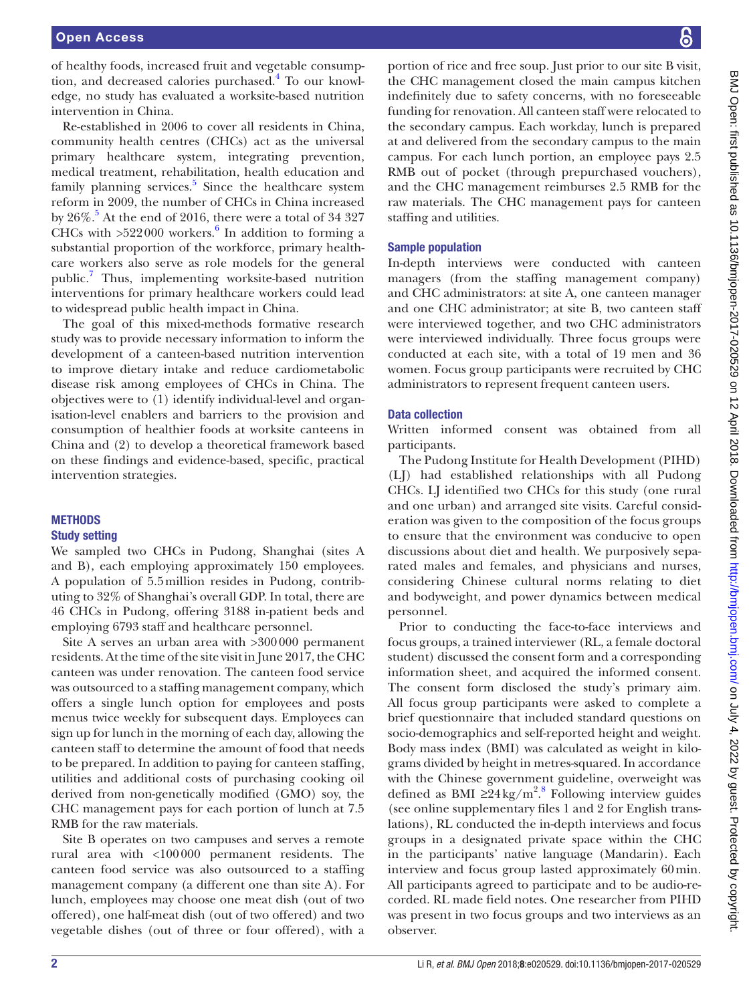of healthy foods, increased fruit and vegetable consump-tion, and decreased calories purchased.<sup>[4](#page-8-3)</sup> To our knowledge, no study has evaluated a worksite-based nutrition intervention in China.

Re-established in 2006 to cover all residents in China, community health centres (CHCs) act as the universal primary healthcare system, integrating prevention, medical treatment, rehabilitation, health education and family planning services.<sup>[5](#page-8-4)</sup> Since the healthcare system reform in 2009, the number of CHCs in China increased by  $26\%.$ <sup>[5](#page-8-4)</sup> At the end of 2016, there were a total of 34 327 CHCs with  $>522000$  workers.<sup>6</sup> In addition to forming a substantial proportion of the workforce, primary healthcare workers also serve as role models for the general public.<sup>7</sup> Thus, implementing worksite-based nutrition interventions for primary healthcare workers could lead to widespread public health impact in China.

The goal of this mixed-methods formative research study was to provide necessary information to inform the development of a canteen-based nutrition intervention to improve dietary intake and reduce cardiometabolic disease risk among employees of CHCs in China. The objectives were to (1) identify individual-level and organisation-level enablers and barriers to the provision and consumption of healthier foods at worksite canteens in China and (2) to develop a theoretical framework based on these findings and evidence-based, specific, practical intervention strategies.

## **METHODS**

#### Study setting

We sampled two CHCs in Pudong, Shanghai (sites A and B), each employing approximately 150 employees. A population of 5.5million resides in Pudong, contributing to 32% of Shanghai's overall GDP. In total, there are 46 CHCs in Pudong, offering 3188 in-patient beds and employing 6793 staff and healthcare personnel.

Site A serves an urban area with >300000 permanent residents. At the time of the site visit in June 2017, the CHC canteen was under renovation. The canteen food service was outsourced to a staffing management company, which offers a single lunch option for employees and posts menus twice weekly for subsequent days. Employees can sign up for lunch in the morning of each day, allowing the canteen staff to determine the amount of food that needs to be prepared. In addition to paying for canteen staffing, utilities and additional costs of purchasing cooking oil derived from non-genetically modified (GMO) soy, the CHC management pays for each portion of lunch at 7.5 RMB for the raw materials.

Site B operates on two campuses and serves a remote rural area with <100000 permanent residents. The canteen food service was also outsourced to a staffing management company (a different one than site A). For lunch, employees may choose one meat dish (out of two offered), one half-meat dish (out of two offered) and two vegetable dishes (out of three or four offered), with a

portion of rice and free soup. Just prior to our site B visit, the CHC management closed the main campus kitchen indefinitely due to safety concerns, with no foreseeable funding for renovation. All canteen staff were relocated to the secondary campus. Each workday, lunch is prepared at and delivered from the secondary campus to the main campus. For each lunch portion, an employee pays 2.5 RMB out of pocket (through prepurchased vouchers), and the CHC management reimburses 2.5 RMB for the raw materials. The CHC management pays for canteen staffing and utilities.

## Sample population

In-depth interviews were conducted with canteen managers (from the staffing management company) and CHC administrators: at site A, one canteen manager and one CHC administrator; at site B, two canteen staff were interviewed together, and two CHC administrators were interviewed individually. Three focus groups were conducted at each site, with a total of 19 men and 36 women. Focus group participants were recruited by CHC administrators to represent frequent canteen users.

## Data collection

Written informed consent was obtained from all participants.

The Pudong Institute for Health Development (PIHD) (LJ) had established relationships with all Pudong CHCs. LJ identified two CHCs for this study (one rural and one urban) and arranged site visits. Careful consideration was given to the composition of the focus groups to ensure that the environment was conducive to open discussions about diet and health. We purposively separated males and females, and physicians and nurses, considering Chinese cultural norms relating to diet and bodyweight, and power dynamics between medical personnel.

Prior to conducting the face-to-face interviews and focus groups, a trained interviewer (RL, a female doctoral student) discussed the consent form and a corresponding information sheet, and acquired the informed consent. The consent form disclosed the study's primary aim. All focus group participants were asked to complete a brief questionnaire that included standard questions on socio-demographics and self-reported height and weight. Body mass index (BMI) was calculated as weight in kilograms divided by height in metres-squared. In accordance with the Chinese government guideline, overweight was defined as BMI  $\geq 24 \text{ kg/m}^2$ .<sup>[8](#page-8-7)</sup> Following interview guides (see online [supplementary files 1 and 2](https://dx.doi.org/10.1136/bmjopen-2017-020529) for English translations), RL conducted the in-depth interviews and focus groups in a designated private space within the CHC in the participants' native language (Mandarin). Each interview and focus group lasted approximately 60min. All participants agreed to participate and to be audio-recorded. RL made field notes. One researcher from PIHD was present in two focus groups and two interviews as an observer.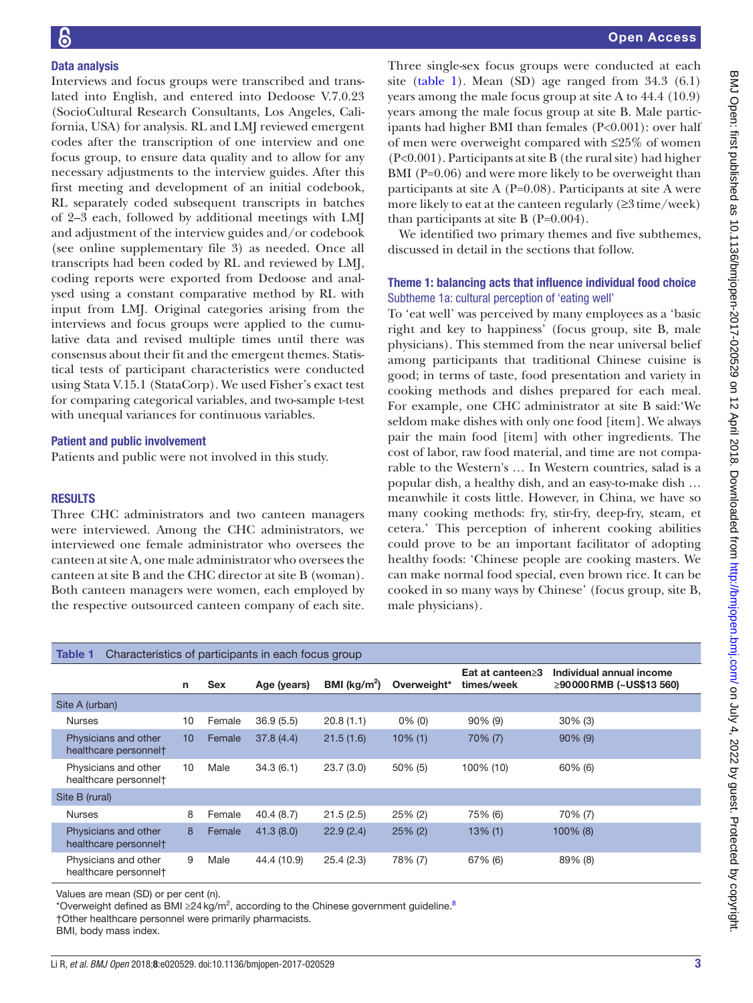## Data analysis

Interviews and focus groups were transcribed and translated into English, and entered into Dedoose V.7.0.23 (SocioCultural Research Consultants, Los Angeles, California, USA) for analysis. RL and LMJ reviewed emergent codes after the transcription of one interview and one focus group, to ensure data quality and to allow for any necessary adjustments to the interview guides. After this first meeting and development of an initial codebook, RL separately coded subsequent transcripts in batches of 2–3 each, followed by additional meetings with LMJ and adjustment of the interview guides and/or codebook (see online [supplementary file 3](https://dx.doi.org/10.1136/bmjopen-2017-020529)) as needed. Once all transcripts had been coded by RL and reviewed by LMJ, coding reports were exported from Dedoose and analysed using a constant comparative method by RL with input from LMJ. Original categories arising from the interviews and focus groups were applied to the cumulative data and revised multiple times until there was consensus about their fit and the emergent themes. Statistical tests of participant characteristics were conducted using Stata V.15.1 (StataCorp). We used Fisher's exact test for comparing categorical variables, and two-sample t-test with unequal variances for continuous variables.

#### Patient and public involvement

Patients and public were not involved in this study.

#### **RESULTS**

Three CHC administrators and two canteen managers were interviewed. Among the CHC administrators, we interviewed one female administrator who oversees the canteen at site A, one male administrator who oversees the canteen at site B and the CHC director at site B (woman). Both canteen managers were women, each employed by the respective outsourced canteen company of each site.

Three single-sex focus groups were conducted at each site ([table](#page-2-0) 1). Mean (SD) age ranged from 34.3 (6.1) years among the male focus group at site A to 44.4 (10.9) years among the male focus group at site B. Male participants had higher BMI than females (P<0.001): over half of men were overweight compared with ≤25% of women (P<0.001). Participants at site B (the rural site) had higher BMI (P=0.06) and were more likely to be overweight than participants at site A (P=0.08). Participants at site A were more likely to eat at the canteen regularly  $(≥3time/week)$ than participants at site B  $(P=0.004)$ .

We identified two primary themes and five subthemes, discussed in detail in the sections that follow.

## Theme 1: balancing acts that influence individual food choice Subtheme 1a: cultural perception of 'eating well'

To 'eat well' was perceived by many employees as a 'basic right and key to happiness' (focus group, site B, male physicians). This stemmed from the near universal belief among participants that traditional Chinese cuisine is good; in terms of taste, food presentation and variety in cooking methods and dishes prepared for each meal. For example, one CHC administrator at site B said:'We seldom make dishes with only one food [item]. We always pair the main food [item] with other ingredients. The cost of labor, raw food material, and time are not comparable to the Western's … In Western countries, salad is a popular dish, a healthy dish, and an easy-to-make dish … meanwhile it costs little. However, in China, we have so many cooking methods: fry, stir-fry, deep-fry, steam, et cetera.' This perception of inherent cooking abilities could prove to be an important facilitator of adopting healthy foods: 'Chinese people are cooking masters. We can make normal food special, even brown rice. It can be cooked in so many ways by Chinese' (focus group, site B, male physicians).

<span id="page-2-0"></span>

| <b>Table 1</b><br>Characteristics of participants in each focus group |                 |            |             |                 |             |                                |                                                            |  |
|-----------------------------------------------------------------------|-----------------|------------|-------------|-----------------|-------------|--------------------------------|------------------------------------------------------------|--|
|                                                                       | n               | <b>Sex</b> | Age (years) | BMI ( $kg/m2$ ) | Overweight* | Eat at canteen≥3<br>times/week | Individual annual income<br>$\geq$ 90000 RMB (~US\$13 560) |  |
| Site A (urban)                                                        |                 |            |             |                 |             |                                |                                                            |  |
| <b>Nurses</b>                                                         | 10              | Female     | 36.9(5.5)   | 20.8(1.1)       | $0\%$ (0)   | $90\%$ (9)                     | $30\%$ (3)                                                 |  |
| Physicians and other<br>healthcare personnelt                         | 10 <sup>1</sup> | Female     | 37.8(4.4)   | 21.5(1.6)       | $10\%$ (1)  | 70% (7)                        | $90\%$ (9)                                                 |  |
| Physicians and other<br>healthcare personnelt                         | 10              | Male       | 34.3(6.1)   | 23.7(3.0)       | 50% (5)     | 100% (10)                      | $60\%$ (6)                                                 |  |
| Site B (rural)                                                        |                 |            |             |                 |             |                                |                                                            |  |
| <b>Nurses</b>                                                         | 8               | Female     | 40.4(8.7)   | 21.5(2.5)       | $25\%$ (2)  | 75% (6)                        | 70% (7)                                                    |  |
| Physicians and other<br>healthcare personnelt                         | 8               | Female     | 41.3(8.0)   | 22.9(2.4)       | $25\%$ (2)  | $13\%$ (1)                     | $100\%$ (8)                                                |  |
| Physicians and other<br>healthcare personnel <sup>+</sup>             | 9               | Male       | 44.4 (10.9) | 25.4(2.3)       | 78% (7)     | 67% (6)                        | 89% (8)                                                    |  |

Values are mean (SD) or per cent (n).

\*Overweight defined as BMI ≥24 kg/m<sup>2</sup>, according to the Chinese government guideline.<sup>[8](#page-8-7)</sup>

†Other healthcare personnel were primarily pharmacists.

BMI, body mass index.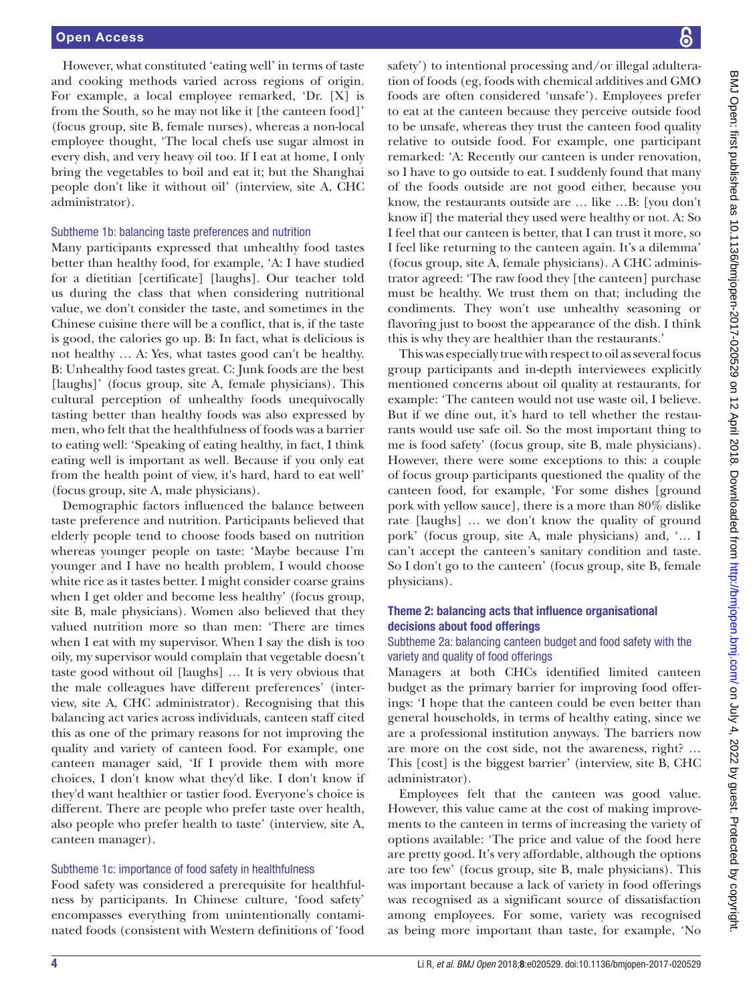However, what constituted 'eating well' in terms of taste and cooking methods varied across regions of origin. For example, a local employee remarked, 'Dr. [X] is from the South, so he may not like it [the canteen food]' (focus group, site B, female nurses), whereas a non-local employee thought, 'The local chefs use sugar almost in every dish, and very heavy oil too. If I eat at home, I only bring the vegetables to boil and eat it; but the Shanghai people don't like it without oil' (interview, site A, CHC administrator).

#### Subtheme 1b: balancing taste preferences and nutrition

Many participants expressed that unhealthy food tastes better than healthy food, for example, 'A: I have studied for a dietitian [certificate] [laughs]. Our teacher told us during the class that when considering nutritional value, we don't consider the taste, and sometimes in the Chinese cuisine there will be a conflict, that is, if the taste is good, the calories go up. B: In fact, what is delicious is not healthy … A: Yes, what tastes good can't be healthy. B: Unhealthy food tastes great. C: Junk foods are the best [laughs]' (focus group, site A, female physicians). This cultural perception of unhealthy foods unequivocally tasting better than healthy foods was also expressed by men, who felt that the healthfulness of foods was a barrier to eating well: 'Speaking of eating healthy, in fact, I think eating well is important as well. Because if you only eat from the health point of view, it's hard, hard to eat well' (focus group, site A, male physicians).

Demographic factors influenced the balance between taste preference and nutrition. Participants believed that elderly people tend to choose foods based on nutrition whereas younger people on taste: 'Maybe because I'm younger and I have no health problem, I would choose white rice as it tastes better. I might consider coarse grains when I get older and become less healthy' (focus group, site B, male physicians). Women also believed that they valued nutrition more so than men: 'There are times when I eat with my supervisor. When I say the dish is too oily, my supervisor would complain that vegetable doesn't taste good without oil [laughs] … It is very obvious that the male colleagues have different preferences' (interview, site A, CHC administrator). Recognising that this balancing act varies across individuals, canteen staff cited this as one of the primary reasons for not improving the quality and variety of canteen food. For example, one canteen manager said, 'If I provide them with more choices, I don't know what they'd like. I don't know if they'd want healthier or tastier food. Everyone's choice is different. There are people who prefer taste over health, also people who prefer health to taste' (interview, site A, canteen manager).

#### Subtheme 1c: importance of food safety in healthfulness

Food safety was considered a prerequisite for healthfulness by participants. In Chinese culture, 'food safety' encompasses everything from unintentionally contaminated foods (consistent with Western definitions of 'food

safety') to intentional processing and/or illegal adulteration of foods (eg, foods with chemical additives and GMO foods are often considered 'unsafe'). Employees prefer to eat at the canteen because they perceive outside food to be unsafe, whereas they trust the canteen food quality relative to outside food. For example, one participant remarked: 'A: Recently our canteen is under renovation, so I have to go outside to eat. I suddenly found that many of the foods outside are not good either, because you know, the restaurants outside are … like …B: [you don't know if] the material they used were healthy or not. A: So I feel that our canteen is better, that I can trust it more, so I feel like returning to the canteen again. It's a dilemma' (focus group, site A, female physicians). A CHC administrator agreed: 'The raw food they [the canteen] purchase must be healthy. We trust them on that; including the condiments. They won't use unhealthy seasoning or flavoring just to boost the appearance of the dish. I think this is why they are healthier than the restaurants.'

This was especially true with respect to oil as several focus group participants and in-depth interviewees explicitly mentioned concerns about oil quality at restaurants, for example: 'The canteen would not use waste oil, I believe. But if we dine out, it's hard to tell whether the restaurants would use safe oil. So the most important thing to me is food safety' (focus group, site B, male physicians). However, there were some exceptions to this: a couple of focus group participants questioned the quality of the canteen food, for example, 'For some dishes [ground pork with yellow sauce], there is a more than 80% dislike rate [laughs] … we don't know the quality of ground pork' (focus group, site A, male physicians) and, '… I can't accept the canteen's sanitary condition and taste. So I don't go to the canteen' (focus group, site B, female physicians).

#### Theme 2: balancing acts that influence organisational decisions about food offerings

## Subtheme 2a: balancing canteen budget and food safety with the variety and quality of food offerings

Managers at both CHCs identified limited canteen budget as the primary barrier for improving food offerings: 'I hope that the canteen could be even better than general households, in terms of healthy eating, since we are a professional institution anyways. The barriers now are more on the cost side, not the awareness, right? … This [cost] is the biggest barrier' (interview, site B, CHC administrator).

Employees felt that the canteen was good value. However, this value came at the cost of making improvements to the canteen in terms of increasing the variety of options available: 'The price and value of the food here are pretty good. It's very affordable, although the options are too few' (focus group, site B, male physicians). This was important because a lack of variety in food offerings was recognised as a significant source of dissatisfaction among employees. For some, variety was recognised as being more important than taste, for example, 'No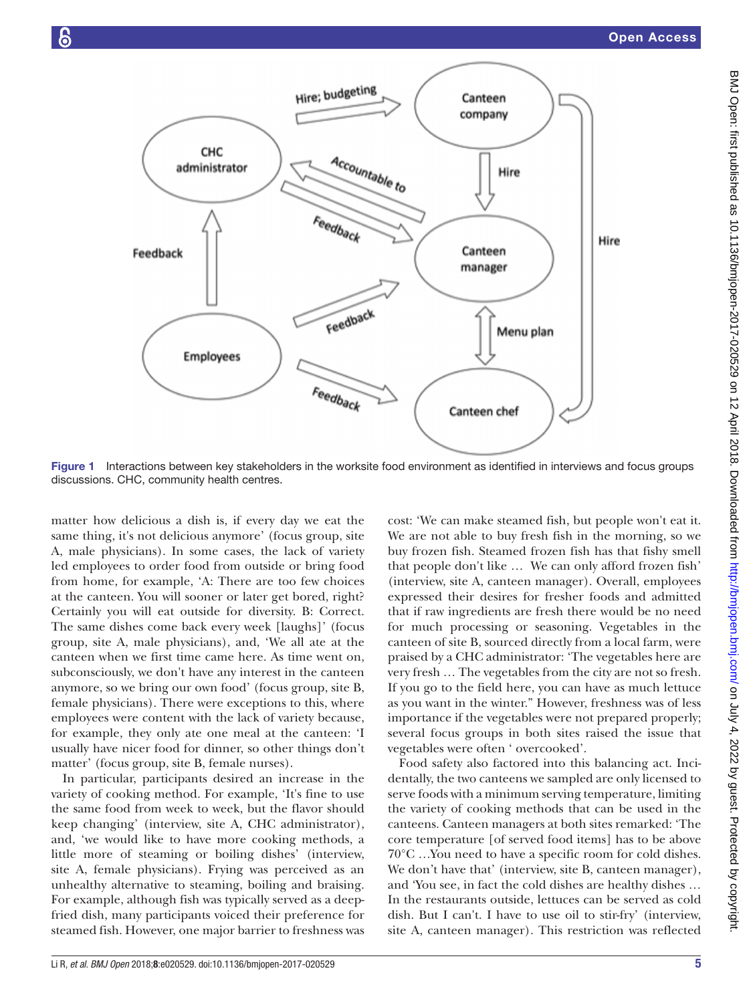

<span id="page-4-0"></span>Figure 1 Interactions between key stakeholders in the worksite food environment as identified in interviews and focus groups discussions. CHC, community health centres.

matter how delicious a dish is, if every day we eat the same thing, it's not delicious anymore' (focus group, site A, male physicians). In some cases, the lack of variety led employees to order food from outside or bring food from home, for example, 'A: There are too few choices at the canteen. You will sooner or later get bored, right? Certainly you will eat outside for diversity. B: Correct. The same dishes come back every week [laughs]' (focus group, site A, male physicians), and, 'We all ate at the canteen when we first time came here. As time went on, subconsciously, we don't have any interest in the canteen anymore, so we bring our own food' (focus group, site B, female physicians). There were exceptions to this, where employees were content with the lack of variety because, for example, they only ate one meal at the canteen: 'I usually have nicer food for dinner, so other things don't matter' (focus group, site B, female nurses).

In particular, participants desired an increase in the variety of cooking method. For example, 'It's fine to use the same food from week to week, but the flavor should keep changing' (interview, site A, CHC administrator), and, 'we would like to have more cooking methods, a little more of steaming or boiling dishes' (interview, site A, female physicians). Frying was perceived as an unhealthy alternative to steaming, boiling and braising. For example, although fish was typically served as a deepfried dish, many participants voiced their preference for steamed fish. However, one major barrier to freshness was

cost: 'We can make steamed fish, but people won't eat it. We are not able to buy fresh fish in the morning, so we buy frozen fish. Steamed frozen fish has that fishy smell that people don't like … We can only afford frozen fish' (interview, site A, canteen manager). Overall, employees expressed their desires for fresher foods and admitted that if raw ingredients are fresh there would be no need for much processing or seasoning. Vegetables in the canteen of site B, sourced directly from a local farm, were praised by a CHC administrator: 'The vegetables here are very fresh … The vegetables from the city are not so fresh. If you go to the field here, you can have as much lettuce as you want in the winter." However, freshness was of less importance if the vegetables were not prepared properly; several focus groups in both sites raised the issue that vegetables were often ' overcooked'.

Food safety also factored into this balancing act. Incidentally, the two canteens we sampled are only licensed to serve foods with a minimum serving temperature, limiting the variety of cooking methods that can be used in the canteens. Canteen managers at both sites remarked: 'The core temperature [of served food items] has to be above 70°C …You need to have a specific room for cold dishes. We don't have that' (interview, site B, canteen manager), and 'You see, in fact the cold dishes are healthy dishes … In the restaurants outside, lettuces can be served as cold dish. But I can't. I have to use oil to stir-fry' (interview, site A, canteen manager). This restriction was reflected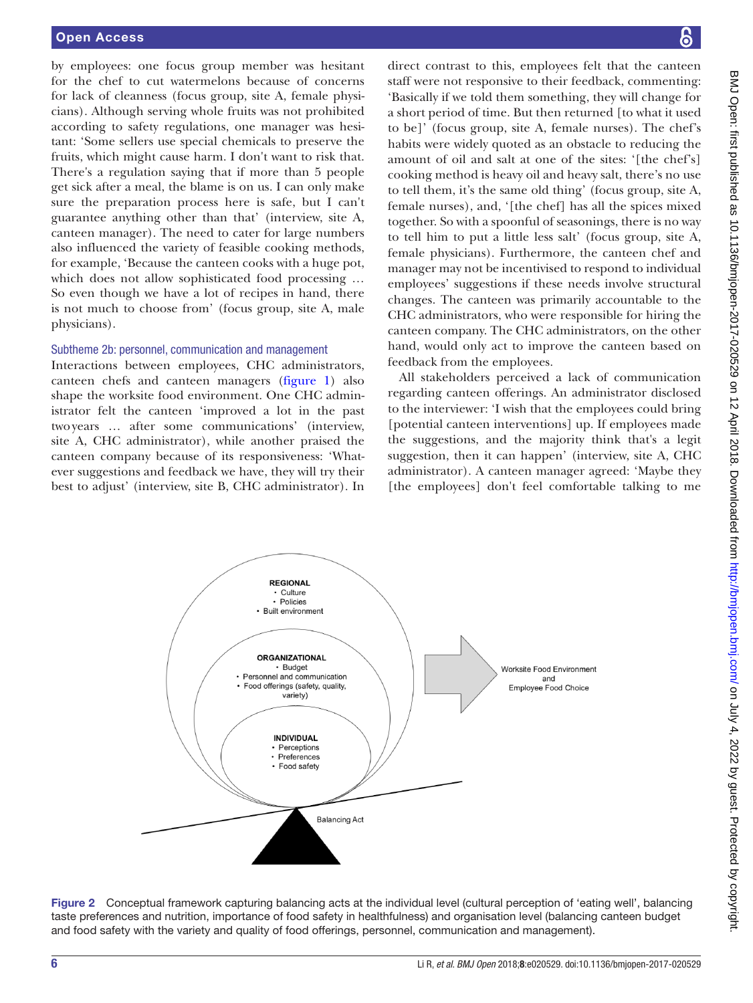by employees: one focus group member was hesitant for the chef to cut watermelons because of concerns for lack of cleanness (focus group, site A, female physicians). Although serving whole fruits was not prohibited according to safety regulations, one manager was hesitant: 'Some sellers use special chemicals to preserve the fruits, which might cause harm. I don't want to risk that. There's a regulation saying that if more than 5 people get sick after a meal, the blame is on us. I can only make sure the preparation process here is safe, but I can't guarantee anything other than that' (interview, site A, canteen manager). The need to cater for large numbers also influenced the variety of feasible cooking methods, for example, 'Because the canteen cooks with a huge pot, which does not allow sophisticated food processing … So even though we have a lot of recipes in hand, there is not much to choose from' (focus group, site A, male physicians).

#### Subtheme 2b: personnel, communication and management

Interactions between employees, CHC administrators, canteen chefs and canteen managers [\(figure](#page-4-0) 1) also shape the worksite food environment. One CHC administrator felt the canteen 'improved a lot in the past twoyears … after some communications' (interview, site A, CHC administrator), while another praised the canteen company because of its responsiveness: 'Whatever suggestions and feedback we have, they will try their best to adjust' (interview, site B, CHC administrator). In

direct contrast to this, employees felt that the canteen staff were not responsive to their feedback, commenting: 'Basically if we told them something, they will change for a short period of time. But then returned [to what it used to be]' (focus group, site A, female nurses). The chef's habits were widely quoted as an obstacle to reducing the amount of oil and salt at one of the sites: '[the chef's] cooking method is heavy oil and heavy salt, there's no use to tell them, it's the same old thing' (focus group, site A, female nurses), and, '[the chef] has all the spices mixed together. So with a spoonful of seasonings, there is no way to tell him to put a little less salt' (focus group, site A, female physicians). Furthermore, the canteen chef and manager may not be incentivised to respond to individual employees' suggestions if these needs involve structural changes. The canteen was primarily accountable to the CHC administrators, who were responsible for hiring the canteen company. The CHC administrators, on the other hand, would only act to improve the canteen based on feedback from the employees.

All stakeholders perceived a lack of communication regarding canteen offerings. An administrator disclosed to the interviewer: 'I wish that the employees could bring [potential canteen interventions] up. If employees made the suggestions, and the majority think that's a legit suggestion, then it can happen' (interview, site A, CHC administrator). A canteen manager agreed: 'Maybe they [the employees] don't feel comfortable talking to me



<span id="page-5-0"></span>Figure 2 Conceptual framework capturing balancing acts at the individual level (cultural perception of 'eating well', balancing taste preferences and nutrition, importance of food safety in healthfulness) and organisation level (balancing canteen budget and food safety with the variety and quality of food offerings, personnel, communication and management).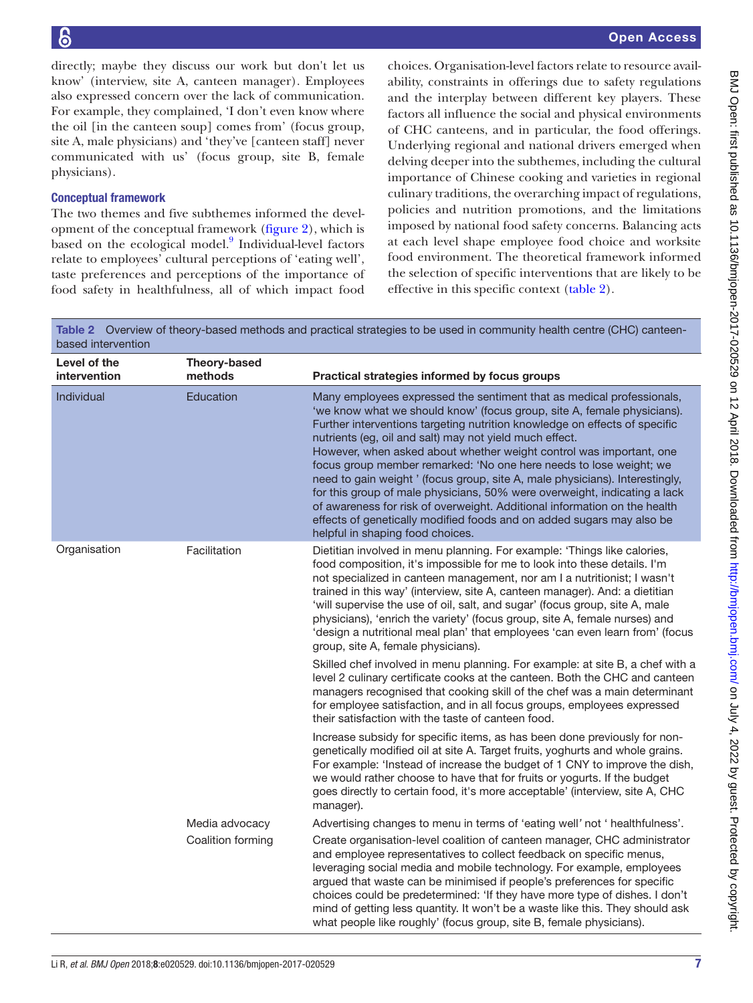directly; maybe they discuss our work but don't let us know' (interview, site A, canteen manager). Employees also expressed concern over the lack of communication. For example, they complained, 'I don't even know where the oil [in the canteen soup] comes from' (focus group, site A, male physicians) and 'they've [canteen staff] never communicated with us' (focus group, site B, female physicians).

## Conceptual framework

The two themes and five subthemes informed the development of the conceptual framework [\(figure](#page-5-0) 2), which is based on the ecological model.<sup>9</sup> Individual-level factors relate to employees' cultural perceptions of 'eating well', taste preferences and perceptions of the importance of food safety in healthfulness, all of which impact food

choices. Organisation-level factors relate to resource availability, constraints in offerings due to safety regulations and the interplay between different key players. These factors all influence the social and physical environments of CHC canteens, and in particular, the food offerings. Underlying regional and national drivers emerged when delving deeper into the subthemes, including the cultural importance of Chinese cooking and varieties in regional culinary traditions, the overarching impact of regulations, policies and nutrition promotions, and the limitations imposed by national food safety concerns. Balancing acts at each level shape employee food choice and worksite food environment. The theoretical framework informed the selection of specific interventions that are likely to be effective in this specific context [\(table](#page-6-0) 2).

<span id="page-6-0"></span>Table 2 Overview of theory-based methods and practical strategies to be used in community health centre (CHC) canteenbased intervention

| Level of the<br>intervention | Theory-based<br>methods | Practical strategies informed by focus groups                                                                                                                                                                                                                                                                                                                                                                                                                                                                                                                                                                                                                                                                                                                                                 |  |
|------------------------------|-------------------------|-----------------------------------------------------------------------------------------------------------------------------------------------------------------------------------------------------------------------------------------------------------------------------------------------------------------------------------------------------------------------------------------------------------------------------------------------------------------------------------------------------------------------------------------------------------------------------------------------------------------------------------------------------------------------------------------------------------------------------------------------------------------------------------------------|--|
| Individual                   | Education               | Many employees expressed the sentiment that as medical professionals,<br>'we know what we should know' (focus group, site A, female physicians).<br>Further interventions targeting nutrition knowledge on effects of specific<br>nutrients (eg, oil and salt) may not yield much effect.<br>However, when asked about whether weight control was important, one<br>focus group member remarked: 'No one here needs to lose weight; we<br>need to gain weight ' (focus group, site A, male physicians). Interestingly,<br>for this group of male physicians, 50% were overweight, indicating a lack<br>of awareness for risk of overweight. Additional information on the health<br>effects of genetically modified foods and on added sugars may also be<br>helpful in shaping food choices. |  |
| Organisation                 | Facilitation            | Dietitian involved in menu planning. For example: 'Things like calories,<br>food composition, it's impossible for me to look into these details. I'm<br>not specialized in canteen management, nor am I a nutritionist; I wasn't<br>trained in this way' (interview, site A, canteen manager). And: a dietitian<br>'will supervise the use of oil, salt, and sugar' (focus group, site A, male<br>physicians), 'enrich the variety' (focus group, site A, female nurses) and<br>'design a nutritional meal plan' that employees 'can even learn from' (focus<br>group, site A, female physicians).                                                                                                                                                                                            |  |
|                              |                         | Skilled chef involved in menu planning. For example: at site B, a chef with a<br>level 2 culinary certificate cooks at the canteen. Both the CHC and canteen<br>managers recognised that cooking skill of the chef was a main determinant<br>for employee satisfaction, and in all focus groups, employees expressed<br>their satisfaction with the taste of canteen food.                                                                                                                                                                                                                                                                                                                                                                                                                    |  |
|                              |                         | Increase subsidy for specific items, as has been done previously for non-<br>genetically modified oil at site A. Target fruits, yoghurts and whole grains.<br>For example: 'Instead of increase the budget of 1 CNY to improve the dish,<br>we would rather choose to have that for fruits or yogurts. If the budget<br>goes directly to certain food, it's more acceptable' (interview, site A, CHC<br>manager).                                                                                                                                                                                                                                                                                                                                                                             |  |
|                              | Media advocacy          | Advertising changes to menu in terms of 'eating well' not ' healthfulness'.                                                                                                                                                                                                                                                                                                                                                                                                                                                                                                                                                                                                                                                                                                                   |  |
|                              | Coalition forming       | Create organisation-level coalition of canteen manager, CHC administrator<br>and employee representatives to collect feedback on specific menus,<br>leveraging social media and mobile technology. For example, employees<br>argued that waste can be minimised if people's preferences for specific<br>choices could be predetermined: 'If they have more type of dishes. I don't<br>mind of getting less quantity. It won't be a waste like this. They should ask<br>what people like roughly' (focus group, site B, female physicians).                                                                                                                                                                                                                                                    |  |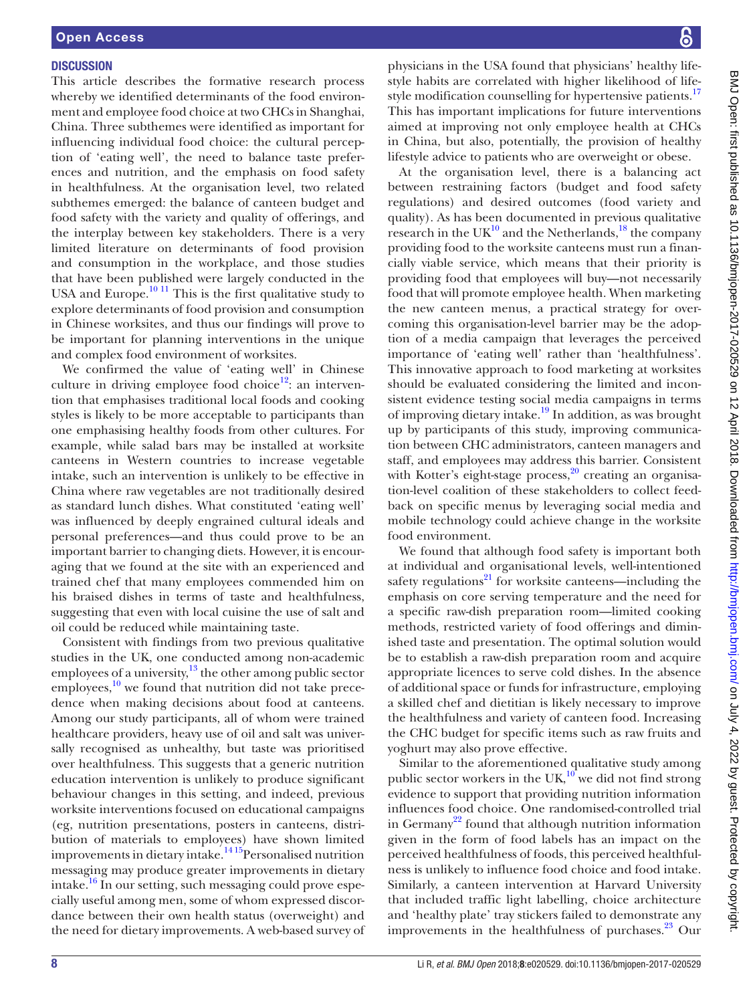#### **DISCUSSION**

This article describes the formative research process whereby we identified determinants of the food environment and employee food choice at two CHCs in Shanghai, China. Three subthemes were identified as important for influencing individual food choice: the cultural perception of 'eating well', the need to balance taste preferences and nutrition, and the emphasis on food safety in healthfulness. At the organisation level, two related subthemes emerged: the balance of canteen budget and food safety with the variety and quality of offerings, and the interplay between key stakeholders. There is a very limited literature on determinants of food provision and consumption in the workplace, and those studies that have been published were largely conducted in the USA and Europe. $1011$  This is the first qualitative study to explore determinants of food provision and consumption in Chinese worksites, and thus our findings will prove to be important for planning interventions in the unique and complex food environment of worksites.

We confirmed the value of 'eating well' in Chinese culture in driving employee food choice<sup>12</sup>: an intervention that emphasises traditional local foods and cooking styles is likely to be more acceptable to participants than one emphasising healthy foods from other cultures. For example, while salad bars may be installed at worksite canteens in Western countries to increase vegetable intake, such an intervention is unlikely to be effective in China where raw vegetables are not traditionally desired as standard lunch dishes. What constituted 'eating well' was influenced by deeply engrained cultural ideals and personal preferences—and thus could prove to be an important barrier to changing diets. However, it is encouraging that we found at the site with an experienced and trained chef that many employees commended him on his braised dishes in terms of taste and healthfulness, suggesting that even with local cuisine the use of salt and oil could be reduced while maintaining taste.

Consistent with findings from two previous qualitative studies in the UK, one conducted among non-academic employees of a university,<sup>[13](#page-8-11)</sup> the other among public sector employees, $\frac{10}{10}$  we found that nutrition did not take precedence when making decisions about food at canteens. Among our study participants, all of whom were trained healthcare providers, heavy use of oil and salt was universally recognised as unhealthy, but taste was prioritised over healthfulness. This suggests that a generic nutrition education intervention is unlikely to produce significant behaviour changes in this setting, and indeed, previous worksite interventions focused on educational campaigns (eg, nutrition presentations, posters in canteens, distribution of materials to employees) have shown limited improvements in dietary intake.<sup>1415</sup>Personalised nutrition messaging may produce greater improvements in dietary intake.<sup>16</sup> In our setting, such messaging could prove especially useful among men, some of whom expressed discordance between their own health status (overweight) and the need for dietary improvements. A web-based survey of

physicians in the USA found that physicians' healthy lifestyle habits are correlated with higher likelihood of life-style modification counselling for hypertensive patients.<sup>[17](#page-9-1)</sup> This has important implications for future interventions aimed at improving not only employee health at CHCs in China, but also, potentially, the provision of healthy lifestyle advice to patients who are overweight or obese.

At the organisation level, there is a balancing act between restraining factors (budget and food safety regulations) and desired outcomes (food variety and quality). As has been documented in previous qualitative research in the UK $^{10}$  and the Netherlands,  $^{18}$  the company providing food to the worksite canteens must run a financially viable service, which means that their priority is providing food that employees will buy—not necessarily food that will promote employee health. When marketing the new canteen menus, a practical strategy for overcoming this organisation-level barrier may be the adoption of a media campaign that leverages the perceived importance of 'eating well' rather than 'healthfulness'. This innovative approach to food marketing at worksites should be evaluated considering the limited and inconsistent evidence testing social media campaigns in terms of improving dietary intake.<sup>19</sup> In addition, as was brought up by participants of this study, improving communication between CHC administrators, canteen managers and staff, and employees may address this barrier. Consistent with Kotter's eight-stage process, $20$  creating an organisation-level coalition of these stakeholders to collect feedback on specific menus by leveraging social media and mobile technology could achieve change in the worksite food environment.

We found that although food safety is important both at individual and organisational levels, well-intentioned safety regulations $^{21}$  for worksite canteens—including the emphasis on core serving temperature and the need for a specific raw-dish preparation room—limited cooking methods, restricted variety of food offerings and diminished taste and presentation. The optimal solution would be to establish a raw-dish preparation room and acquire appropriate licences to serve cold dishes. In the absence of additional space or funds for infrastructure, employing a skilled chef and dietitian is likely necessary to improve the healthfulness and variety of canteen food. Increasing the CHC budget for specific items such as raw fruits and yoghurt may also prove effective.

Similar to the aforementioned qualitative study among public sector workers in the UK,<sup>10</sup> we did not find strong evidence to support that providing nutrition information influences food choice. One randomised-controlled trial in Germany<sup>[22](#page-9-6)</sup> found that although nutrition information given in the form of food labels has an impact on the perceived healthfulness of foods, this perceived healthfulness is unlikely to influence food choice and food intake. Similarly, a canteen intervention at Harvard University that included traffic light labelling, choice architecture and 'healthy plate' tray stickers failed to demonstrate any improvements in the healthfulness of purchases.<sup>23</sup> Our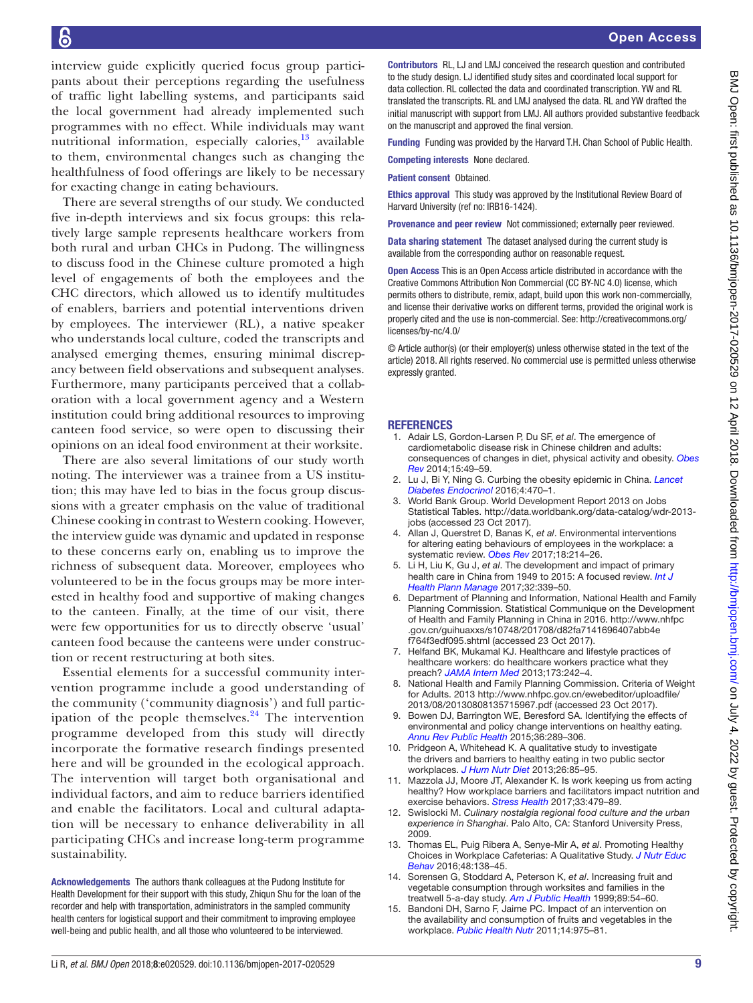interview guide explicitly queried focus group participants about their perceptions regarding the usefulness of traffic light labelling systems, and participants said the local government had already implemented such programmes with no effect. While individuals may want nutritional information, especially calories, $13$  available to them, environmental changes such as changing the healthfulness of food offerings are likely to be necessary for exacting change in eating behaviours.

There are several strengths of our study. We conducted five in-depth interviews and six focus groups: this relatively large sample represents healthcare workers from both rural and urban CHCs in Pudong. The willingness to discuss food in the Chinese culture promoted a high level of engagements of both the employees and the CHC directors, which allowed us to identify multitudes of enablers, barriers and potential interventions driven by employees. The interviewer (RL), a native speaker who understands local culture, coded the transcripts and analysed emerging themes, ensuring minimal discrepancy between field observations and subsequent analyses. Furthermore, many participants perceived that a collaboration with a local government agency and a Western institution could bring additional resources to improving canteen food service, so were open to discussing their opinions on an ideal food environment at their worksite.

There are also several limitations of our study worth noting. The interviewer was a trainee from a US institution; this may have led to bias in the focus group discussions with a greater emphasis on the value of traditional Chinese cooking in contrast to Western cooking. However, the interview guide was dynamic and updated in response to these concerns early on, enabling us to improve the richness of subsequent data. Moreover, employees who volunteered to be in the focus groups may be more interested in healthy food and supportive of making changes to the canteen. Finally, at the time of our visit, there were few opportunities for us to directly observe 'usual' canteen food because the canteens were under construction or recent restructuring at both sites.

Essential elements for a successful community intervention programme include a good understanding of the community ('community diagnosis') and full participation of the people themselves. $24$  The intervention programme developed from this study will directly incorporate the formative research findings presented here and will be grounded in the ecological approach. The intervention will target both organisational and individual factors, and aim to reduce barriers identified and enable the facilitators. Local and cultural adaptation will be necessary to enhance deliverability in all participating CHCs and increase long-term programme sustainability.

Acknowledgements The authors thank colleagues at the Pudong Institute for Health Development for their support with this study, Zhiqun Shu for the loan of the recorder and help with transportation, administrators in the sampled community health centers for logistical support and their commitment to improving employee well-being and public health, and all those who volunteered to be interviewed.

Contributors RL, LJ and LMJ conceived the research question and contributed to the study design. LJ identified study sites and coordinated local support for data collection. RL collected the data and coordinated transcription. YW and RL translated the transcripts. RL and LMJ analysed the data. RL and YW drafted the initial manuscript with support from LMJ. All authors provided substantive feedback on the manuscript and approved the final version.

Funding Funding was provided by the Harvard T.H. Chan School of Public Health.

Competing interests None declared.

Patient consent Obtained.

Ethics approval This study was approved by the Institutional Review Board of Harvard University (ref no: IRB16-1424).

Provenance and peer review Not commissioned; externally peer reviewed.

Data sharing statement The dataset analysed during the current study is available from the corresponding author on reasonable request.

Open Access This is an Open Access article distributed in accordance with the Creative Commons Attribution Non Commercial (CC BY-NC 4.0) license, which permits others to distribute, remix, adapt, build upon this work non-commercially, and license their derivative works on different terms, provided the original work is properly cited and the use is non-commercial. See: [http://creativecommons.org/](http://creativecommons.org/licenses/by-nc/4.0/) [licenses/by-nc/4.0/](http://creativecommons.org/licenses/by-nc/4.0/)

© Article author(s) (or their employer(s) unless otherwise stated in the text of the article) 2018. All rights reserved. No commercial use is permitted unless otherwise expressly granted.

#### **REFERENCES**

- <span id="page-8-0"></span>1. Adair LS, Gordon-Larsen P, Du SF, *et al*. The emergence of cardiometabolic disease risk in Chinese children and adults: consequences of changes in diet, physical activity and obesity. *[Obes](http://dx.doi.org/10.1111/obr.12123)  [Rev](http://dx.doi.org/10.1111/obr.12123)* 2014;15:49–59.
- <span id="page-8-1"></span>2. Lu J, Bi Y, Ning G. Curbing the obesity epidemic in China. *[Lancet](http://dx.doi.org/10.1016/S2213-8587(16)30007-9)  [Diabetes Endocrinol](http://dx.doi.org/10.1016/S2213-8587(16)30007-9)* 2016;4:470–1.
- <span id="page-8-2"></span>3. World Bank Group. World Development Report 2013 on Jobs Statistical Tables. [http://data.worldbank.org/data-catalog/wdr-2013](http://data.worldbank.org/data-catalog/wdr-2013-jobs) [jobs](http://data.worldbank.org/data-catalog/wdr-2013-jobs) (accessed 23 Oct 2017).
- <span id="page-8-3"></span>4. Allan J, Querstret D, Banas K, *et al*. Environmental interventions for altering eating behaviours of employees in the workplace: a systematic review. *[Obes Rev](http://dx.doi.org/10.1111/obr.12470)* 2017;18:214–26.
- <span id="page-8-4"></span>5. Li H, Liu K, Gu J, *et al*. The development and impact of primary health care in China from 1949 to 2015: A focused review. *[Int J](http://dx.doi.org/10.1002/hpm.2435)  [Health Plann Manage](http://dx.doi.org/10.1002/hpm.2435)* 2017;32:339–50.
- <span id="page-8-5"></span>6. Department of Planning and Information, National Health and Family Planning Commission. Statistical Communique on the Development of Health and Family Planning in China in 2016. [http://www.nhfpc](http://www.nhfpc.gov.cn/guihuaxxs/s10748/201708/d82fa7141696407abb4ef764f3edf095.shtml) [.gov.cn/guihuaxxs/s10748/201708/d82fa7141696407abb4e](http://www.nhfpc.gov.cn/guihuaxxs/s10748/201708/d82fa7141696407abb4ef764f3edf095.shtml) [f764f3edf095.shtml](http://www.nhfpc.gov.cn/guihuaxxs/s10748/201708/d82fa7141696407abb4ef764f3edf095.shtml) (accessed 23 Oct 2017).
- <span id="page-8-6"></span>7. Helfand BK, Mukamal KJ. Healthcare and lifestyle practices of healthcare workers: do healthcare workers practice what they preach? *[JAMA Intern Med](http://dx.doi.org/10.1001/2013.jamainternmed.1039)* 2013;173:242–4.
- <span id="page-8-7"></span>8. National Health and Family Planning Commission. Criteria of Weight for Adults. 2013 [http://www.nhfpc.gov.cn/ewebeditor/uploadfile/](http://www.nhfpc.gov.cn/ewebeditor/uploadfile/2013/08/20130808135715967.pdf) [2013/08/20130808135715967.pdf](http://www.nhfpc.gov.cn/ewebeditor/uploadfile/2013/08/20130808135715967.pdf) (accessed 23 Oct 2017).
- <span id="page-8-8"></span>9. Bowen DJ, Barrington WE, Beresford SA. Identifying the effects of environmental and policy change interventions on healthy eating. *[Annu Rev Public Health](http://dx.doi.org/10.1146/annurev-publhealth-032013-182516)* 2015;36:289–306.
- <span id="page-8-9"></span>10. Pridgeon A, Whitehead K. A qualitative study to investigate the drivers and barriers to healthy eating in two public sector workplaces. *[J Hum Nutr Diet](http://dx.doi.org/10.1111/j.1365-277X.2012.01281.x)* 2013;26:85–95.
- 11. Mazzola JJ, Moore JT, Alexander K. Is work keeping us from acting healthy? How workplace barriers and facilitators impact nutrition and exercise behaviors. *[Stress Health](http://dx.doi.org/10.1002/smi.2731)* 2017;33:479–89.
- <span id="page-8-10"></span>12. Swislocki M. *Culinary nostalgia regional food culture and the urban experience in Shanghai*. Palo Alto, CA: Stanford University Press, 2009.
- <span id="page-8-11"></span>13. Thomas EL, Puig Ribera A, Senye-Mir A, *et al*. Promoting Healthy Choices in Workplace Cafeterias: A Qualitative Study. *[J Nutr Educ](http://dx.doi.org/10.1016/j.jneb.2015.11.001)  [Behav](http://dx.doi.org/10.1016/j.jneb.2015.11.001)* 2016;48:138–45.
- <span id="page-8-12"></span>14. Sorensen G, Stoddard A, Peterson K, *et al*. Increasing fruit and vegetable consumption through worksites and families in the treatwell 5-a-day study. *[Am J Public Health](http://dx.doi.org/10.2105/AJPH.89.1.54)* 1999;89:54–60.
- 15. Bandoni DH, Sarno F, Jaime PC. Impact of an intervention on the availability and consumption of fruits and vegetables in the workplace. *[Public Health Nutr](http://dx.doi.org/10.1017/S1368980010003460)* 2011;14:975–81.